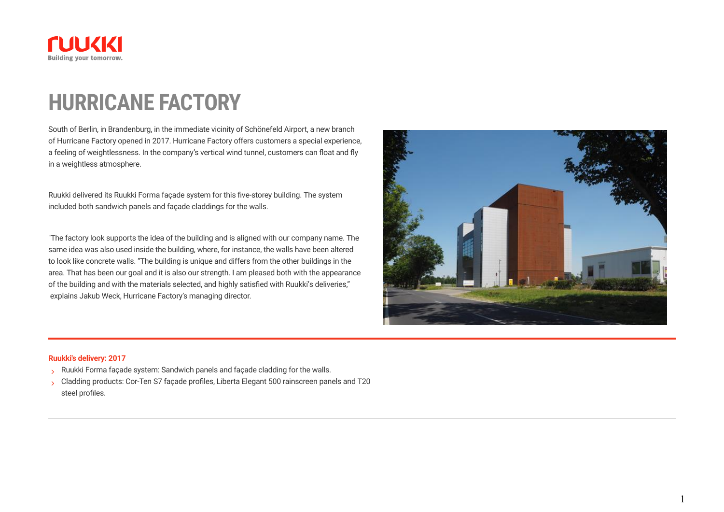

## **HURRICANE FACTORY**

South of Berlin, in Brandenburg, in the immediate vicinity of Schönefeld Airport, a new branch of Hurricane Factory opened in 2017. Hurricane Factory offers customers a special experience, a feeling of weightlessness. In the company's vertical wind tunnel, customers can float and fly in a weightless atmosphere.

Ruukki delivered its Ruukki Forma façade system for this five-storey building. The system included both sandwich panels and façade claddings for the walls.

"The factory look supports the idea of the building and is aligned with our company name. The same idea was also used inside the building, where, for instance, the walls have been altered to look like concrete walls. "The building is unique and differs from the other buildings in the area. That has been our goal and it is also our strength. I am pleased both with the appearance of the building and with the materials selected, and highly satisfied with Ruukki's deliveries," explains Jakub Weck, Hurricane Factory's managing director.



1

#### **Ruukki's delivery: 2017**

- S Ruukki Forma façade system: Sandwich panels and façade cladding for the walls.
- Cladding products: Cor-Ten S7 façade profiles, Liberta Elegant 500 rainscreen panels and T20 steel profiles.  $\mathbf{S}$